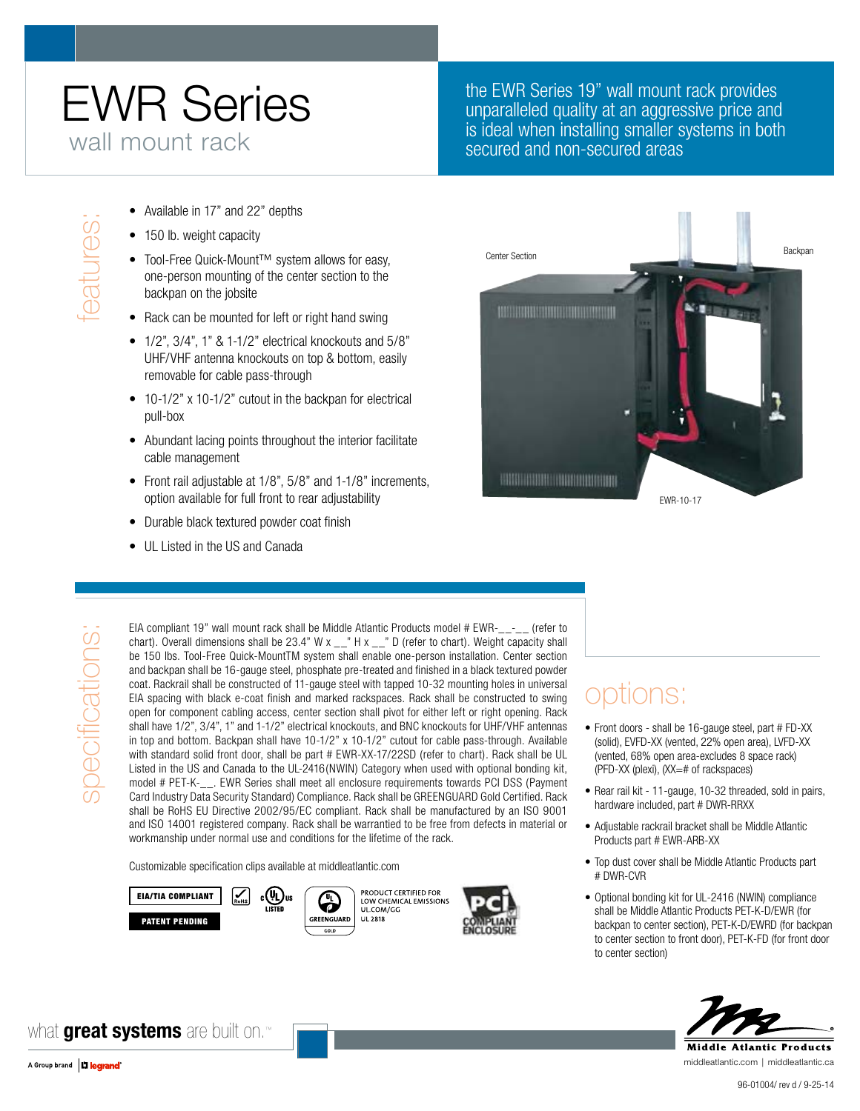## EWR Series wall mount rack

#### the EWR Series 19" wall mount rack provides unparalleled quality at an aggressive price and is ideal when installing smaller systems in both secured and non-secured areas

- 
- 150 lb. weight capacity
- Available in 17" and 22" depths<br>
 150 lb. weight capacity<br>
 Tool-Free Quick-Mount™ syste<br>
one-person mounting of the cer<br>
backpan on the jobsite<br>
 Rack can be mounted for left or • Tool-Free Quick-Mount™ system allows for easy, one-person mounting of the center section to the backpan on the jobsite
	- Rack can be mounted for left or right hand swing
	- $1/2$ ",  $3/4$ ",  $1$ " &  $1-1/2$ " electrical knockouts and  $5/8$ " UHF/VHF antenna knockouts on top & bottom, easily removable for cable pass-through
	- 10-1/2" x 10-1/2" cutout in the backpan for electrical pull-box
	- Abundant lacing points throughout the interior facilitate cable management
	- Front rail adjustable at 1/8", 5/8" and 1-1/8" increments, option available for full front to rear adjustability
	- Durable black textured powder coat finish
	- UL Listed in the US and Canada

# **Center Section** Backpan Backpan Backpan Backpan Backpan Backpan Backpan Backpan Backpan **Bitm MARKET MARKET AND AN ARTISTS HARRISON CONTROLLER IN** EWR-10-17

# specifications: specifications

EIA compliant 19" wall mount rack shall be Middle Atlantic Products model # EWR-\_\_-\_\_ (refer to chart). Overall dimensions shall be 23.4" W x  $\frac{1}{2}$ " H x  $\frac{1}{2}$ " D (refer to chart). Weight capacity shall be 150 lbs. Tool-Free Quick-MountTM system shall enable one-person installation. Center section and backpan shall be 16-gauge steel, phosphate pre-treated and finished in a black textured powder coat. Rackrail shall be constructed of 11-gauge steel with tapped 10-32 mounting holes in universal EIA spacing with black e-coat finish and marked rackspaces. Rack shall be constructed to swing open for component cabling access, center section shall pivot for either left or right opening. Rack shall have 1/2", 3/4", 1" and 1-1/2" electrical knockouts, and BNC knockouts for UHF/VHF antennas in top and bottom. Backpan shall have 10-1/2" x 10-1/2" cutout for cable pass-through. Available with standard solid front door, shall be part # EWR-XX-17/22SD (refer to chart). Rack shall be UL Listed in the US and Canada to the UL-2416(NWIN) Category when used with optional bonding kit, model # PET-K-\_\_. EWR Series shall meet all enclosure requirements towards PCI DSS (Payment Card Industry Data Security Standard) Compliance. Rack shall be GREENGUARD Gold Certified. Rack shall be RoHS EU Directive 2002/95/EC compliant. Rack shall be manufactured by an ISO 9001 and ISO 14001 registered company. Rack shall be warrantied to be free from defects in material or workmanship under normal use and conditions for the lifetime of the rack.

Customizable specification clips available at middleatlantic.com









### options:

- Front doors shall be 16-gauge steel, part # FD-XX (solid), EVFD-XX (vented, 22% open area), LVFD-XX (vented, 68% open area-excludes 8 space rack) (PFD-XX (plexi), (XX=# of rackspaces)
- Rear rail kit 11-gauge, 10-32 threaded, sold in pairs, hardware included, part # DWR-RRXX
- • Adjustable rackrail bracket shall be Middle Atlantic Products part # EWR-ARB-XX
- Top dust cover shall be Middle Atlantic Products part # DWR-CVR
- Optional bonding kit for UL-2416 (NWIN) compliance shall be Middle Atlantic Products PET-K-D/EWR (for backpan to center section), PET-K-D/EWRD (for backpan to center section to front door), PET-K-FD (for front door to center section)



middleatlantic.com | middleatlantic.ca

what **great systems** are built on.™